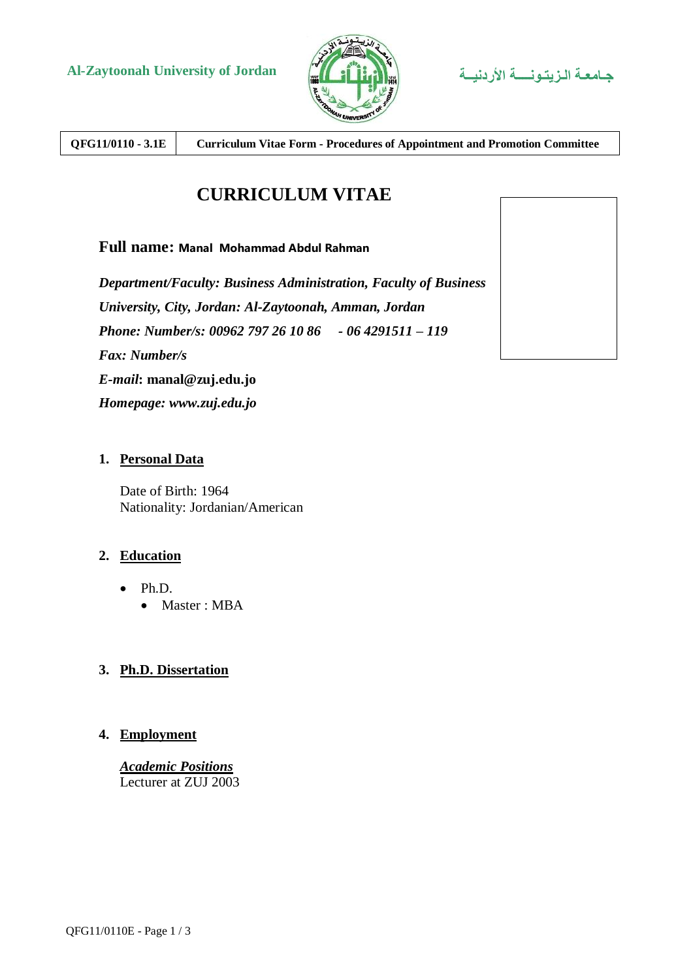



**QFG11/0110 - 3.1E Curriculum Vitae Form - Procedures of Appointment and Promotion Committee**

# **CURRICULUM VITAE**

## **Full name: Manal Mohammad Abdul Rahman**

*Department/Faculty: Business Administration, Faculty of Business University, City, Jordan: Al-Zaytoonah, Amman, Jordan Phone: Number/s: 00962 797 26 10 86 - 06 4291511 – 119 Fax: Number/s E-mail***: manal@zuj.edu.jo** *Homepage: www.zuj.edu.jo*

#### **1. Personal Data**

Date of Birth: 1964 Nationality: Jordanian/American

## **2. Education**

- Ph.D.
	- Master : MBA

## **3. Ph.D. Dissertation**

## **4. Employment**

*Academic Positions* Lecturer at ZUJ 2003

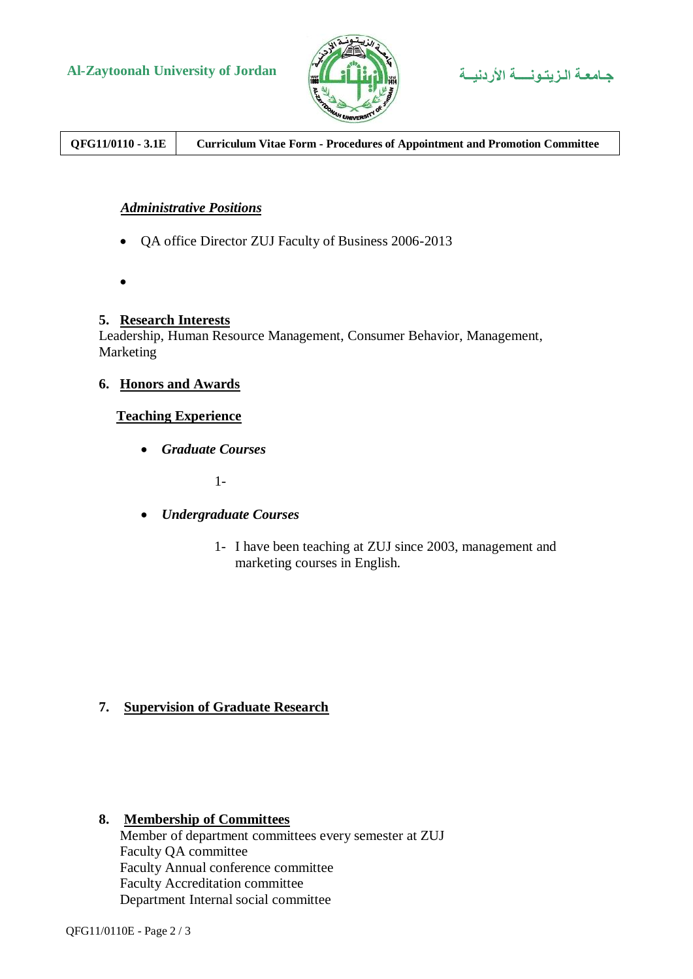



**QFG11/0110 - 3.1E Curriculum Vitae Form - Procedures of Appointment and Promotion Committee**

## *Administrative Positions*

- QA office Director ZUJ Faculty of Business 2006-2013
- $\bullet$

## **5. Research Interests**

Leadership, Human Resource Management, Consumer Behavior, Management, Marketing

#### **6. Honors and Awards**

#### **Teaching Experience**

*Graduate Courses*

1-

- *Undergraduate Courses*
	- 1- I have been teaching at ZUJ since 2003, management and marketing courses in English.

## **7. Supervision of Graduate Research**

#### **8. Membership of Committees**

Member of department committees every semester at ZUJ Faculty QA committee Faculty Annual conference committee Faculty Accreditation committee Department Internal social committee